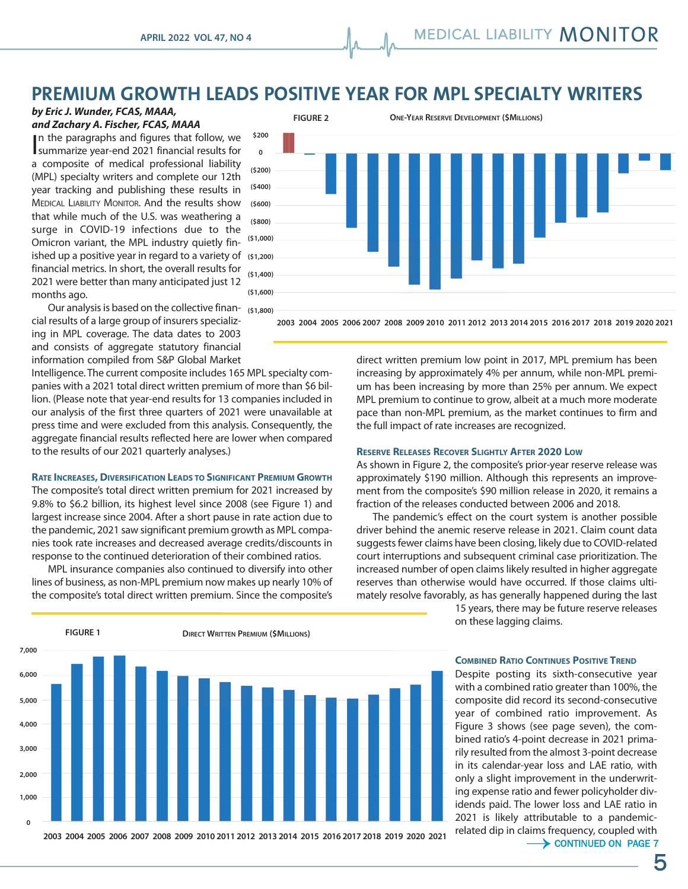# **PREMIUM GROWTH LEADS POSITIVE YEAR FOR MPL SPECIALTY WRITERS**

## *by Eric J. Wunder, FCAS, MAAA, and Zachary A. Fischer, FCAS, MAAA*

In the paragraphs and figures that follow, we summarize year-end 2021 financial results for summarize year-end 2021 financial results for a composite of medical professional liability (MPL) specialty writers and complete our 12th year tracking and publishing these results in MEDICAL LIABILITY MONITOR. And the results show that while much of the U.S. was weathering a surge in COVID-19 infections due to the Omicron variant, the MPL industry quietly finished up a positive year in regard to a variety of **(\$1,200)**  financial metrics. In short, the overall results for 2021 were better than many anticipated just 12 months ago.



Our analysis is based on the collective finan-**(\$1,800)**  cial results of a large group of insurers specializing in MPL coverage. The data dates to 2003 and consists of aggregate statutory financial information compiled from S&P Global Market

Intelligence. The current composite includes 165 MPL specialty companies with a 2021 total direct written premium of more than \$6 billion. (Please note that year-end results for 13 companies included in our analysis of the first three quarters of 2021 were unavailable at press time and were excluded from this analysis. Consequently, the aggregate financial results reflected here are lower when compared to the results of our 2021 quarterly analyses.)

### **RATE INCREASES, DIVERSIFICATION LEADS TO SIGNIFICANT PREMIUM GROWTH**

The composite's total direct written premium for 2021 increased by 9.8% to \$6.2 billion, its highest level since 2008 (see Figure 1) and largest increase since 2004. After a short pause in rate action due to the pandemic, 2021 saw significant premium growth as MPL companies took rate increases and decreased average credits/discounts in response to the continued deterioration of their combined ratios.

MPL insurance companies also continued to diversify into other lines of business, as non-MPL premium now makes up nearly 10% of the composite's total direct written premium. Since the composite's



 $0$  2011 # ) '&%\$" **2003 2004 2005 2006 2007 2008 2009 2010 2011 2012 2013 2014 2015 2016 2017 2018 2019 2020 2021**

direct written premium low point in 2017, MPL premium has been increasing by approximately 4% per annum, while non-MPL premium has been increasing by more than 25% per annum. We expect MPL premium to continue to grow, albeit at a much more moderate pace than non-MPL premium, as the market continues to firm and

#### **RESERVE RELEASES RECOVER SLIGHTLY AFTER 2020 LOW**

"#\$%&'!)! # ) '&%\$" **2003 2004 2005 2006 2007 2008 2009 2010 2011 2012 2013 2014 2015 2016 2017 2018 2019 2020 2021**

the full impact of rate increases are recognized.

As shown in Figure 2, the composite's prior-year reserve release was approximately \$190 million. Although this represents an improvement from the composite's \$90 million release in 2020, it remains a fraction of the releases conducted between 2006 and 2018.

The pandemic's effect on the court system is another possible driver behind the anemic reserve release in 2021. Claim count data suggests fewer claims have been closing, likely due to COVID-related court interruptions and subsequent criminal case prioritization. The increased number of open claims likely resulted in higher aggregate reserves than otherwise would have occurred. If those claims ultimately resolve favorably, as has generally happened during the last

15 years, there may be future reserve releases on these lagging claims.

### **COMBINED RATIO CONTINUES POSITIVE TREND**

Despite posting its sixth-consecutive year with a combined ratio greater than 100%, the composite did record its second-consecutive year of combined ratio improvement. As Figure 3 shows (see page seven), the combined ratio's 4-point decrease in 2021 primarily resulted from the almost 3-point decrease in its calendar-year loss and LAE ratio, with only a slight improvement in the underwriting expense ratio and fewer policyholder dividends paid. The lower loss and LAE ratio in 2021 is likely attributable to a pandemicrelated dip in claims frequency, coupled with  $\rightarrow$  CONTINUED ON PAGE 7